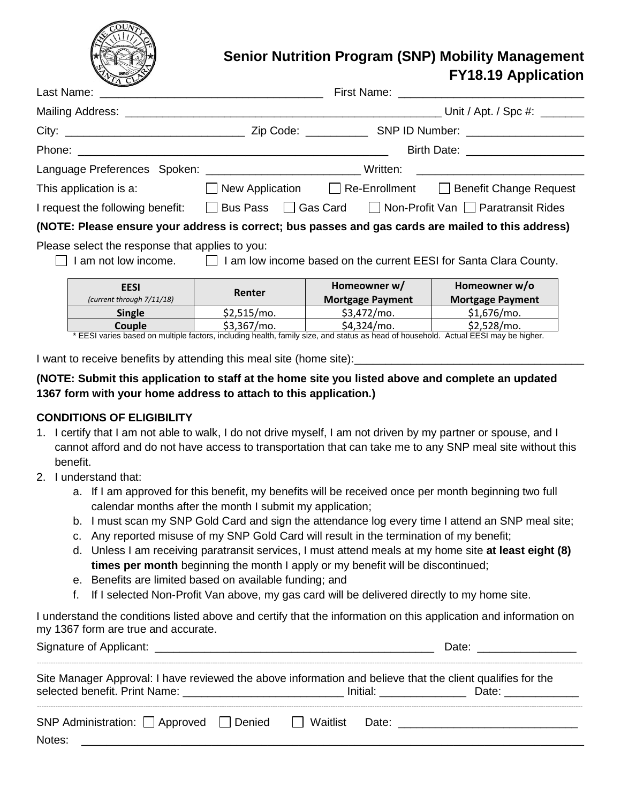

# **Senior Nutrition Program (SNP) Mobility Management FY18.19 Application**

|                                                                                                    |  | Language Preferences Spoken: ___________________________Written: ___________________________________ |  |  |  |
|----------------------------------------------------------------------------------------------------|--|------------------------------------------------------------------------------------------------------|--|--|--|
|                                                                                                    |  | This application is a: $\Box$ New Application $\Box$ Re-Enrollment $\Box$ Benefit Change Request     |  |  |  |
|                                                                                                    |  | I request the following benefit: □ Bus Pass □ Gas Card □ Non-Profit Van □ Paratransit Rides          |  |  |  |
| (NOTE: Please ensure your address is correct; bus passes and gas cards are mailed to this address) |  |                                                                                                      |  |  |  |
| Please select the response that applies to you:                                                    |  | I am not low income. 1 am low income based on the current EESI for Santa Clara County.               |  |  |  |
|                                                                                                    |  | <u> 1989 - Johann Stoff, amerikansk politiker (d. 1989)</u>                                          |  |  |  |

| <b>EESI</b>                                                                                                                        | Renter        | Homeowner w/            | Homeowner w/o           |  |  |
|------------------------------------------------------------------------------------------------------------------------------------|---------------|-------------------------|-------------------------|--|--|
| (current through 7/11/18)                                                                                                          |               | <b>Mortgage Payment</b> | <b>Mortgage Payment</b> |  |  |
| <b>Single</b>                                                                                                                      | $$2.515/mo$ . | $$3,472/mol$ .          | $$1,676/mol$ .          |  |  |
| Couple                                                                                                                             | $$3,367/mo$ . | $$4,324/mol$ .          | $$2,528/mol$ .          |  |  |
| * EECL varies besed on multiple fectors, including boalth, family size, and status as bead of bousebold. Actual EECL may be bigber |               |                         |                         |  |  |

EESI varies based on multiple factors, including health, family size, and status as head of household. Actual EESI may be higher.

I want to receive benefits by attending this meal site (home site):

#### **(NOTE: Submit this application to staff at the home site you listed above and complete an updated 1367 form with your home address to attach to this application.)**

#### **CONDITIONS OF ELIGIBILITY**

- 1. I certify that I am not able to walk, I do not drive myself, I am not driven by my partner or spouse, and I cannot afford and do not have access to transportation that can take me to any SNP meal site without this benefit.
- 2. I understand that:
	- a. If I am approved for this benefit, my benefits will be received once per month beginning two full calendar months after the month I submit my application;
	- b. I must scan my SNP Gold Card and sign the attendance log every time I attend an SNP meal site;
	- c. Any reported misuse of my SNP Gold Card will result in the termination of my benefit;
	- d. Unless I am receiving paratransit services, I must attend meals at my home site **at least eight (8) times per month** beginning the month I apply or my benefit will be discontinued;
	- e. Benefits are limited based on available funding; and
	- f. If I selected Non-Profit Van above, my gas card will be delivered directly to my home site.

I understand the conditions listed above and certify that the information on this application and information on my 1367 form are true and accurate.

|                                                                                                                                                | Date: $\frac{1}{\sqrt{1-\frac{1}{2}}}\frac{1}{\sqrt{1-\frac{1}{2}}}\frac{1}{\sqrt{1-\frac{1}{2}}}\frac{1}{\sqrt{1-\frac{1}{2}}}\frac{1}{\sqrt{1-\frac{1}{2}}}\frac{1}{\sqrt{1-\frac{1}{2}}}\frac{1}{\sqrt{1-\frac{1}{2}}}\frac{1}{\sqrt{1-\frac{1}{2}}}\frac{1}{\sqrt{1-\frac{1}{2}}}\frac{1}{\sqrt{1-\frac{1}{2}}}\frac{1}{\sqrt{1-\frac{1}{2}}}\frac{1}{\sqrt{1-\frac{1}{2}}}\frac{1}{\sqrt{1-\frac{1}{2}}}\frac{1}{\$ |  |  |                |
|------------------------------------------------------------------------------------------------------------------------------------------------|--------------------------------------------------------------------------------------------------------------------------------------------------------------------------------------------------------------------------------------------------------------------------------------------------------------------------------------------------------------------------------------------------------------------------|--|--|----------------|
| Site Manager Approval: I have reviewed the above information and believe that the client qualifies for the                                     |                                                                                                                                                                                                                                                                                                                                                                                                                          |  |  | Initial: Date: |
| SNP Administration: $\Box$ Approved $\Box$ Denied $\Box$ Waitlist Date:<br>Notes:<br><u> 1989 - John Stone, Amerikaansk politiker (* 1908)</u> |                                                                                                                                                                                                                                                                                                                                                                                                                          |  |  |                |